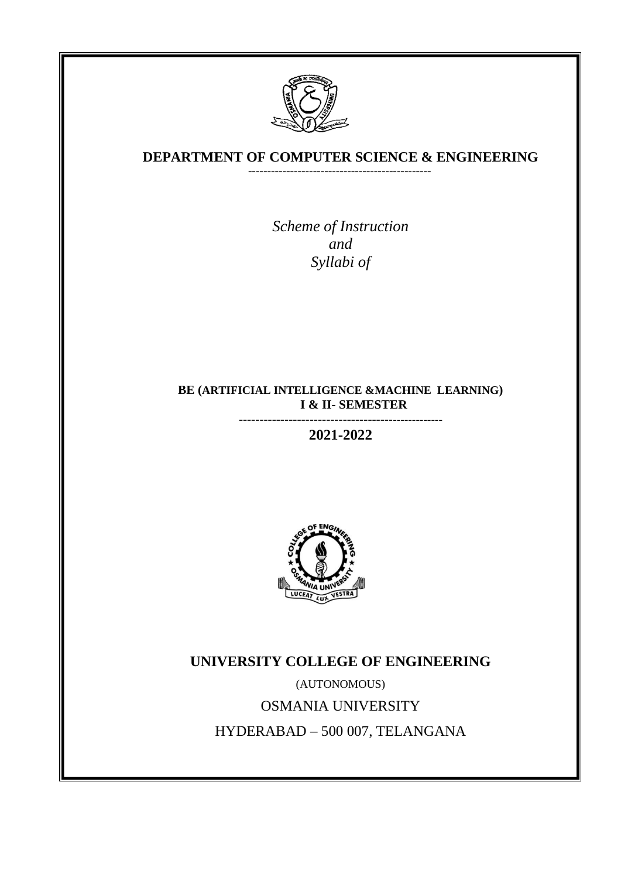

### **DEPARTMENT OF COMPUTER SCIENCE & ENGINEERING** ------------------------------------------------

 *With effect from the academic year 2021-2022*

*Scheme of Instruction and Syllabi of*

## **BE (ARTIFICIAL INTELLIGENCE &MACHINE LEARNING) I & II- SEMESTER**

**-------------------------------------**-------------

**2021-2022**



**UNIVERSITY COLLEGE OF ENGINEERING**

(AUTONOMOUS) OSMANIA UNIVERSITY HYDERABAD – 500 007, TELANGANA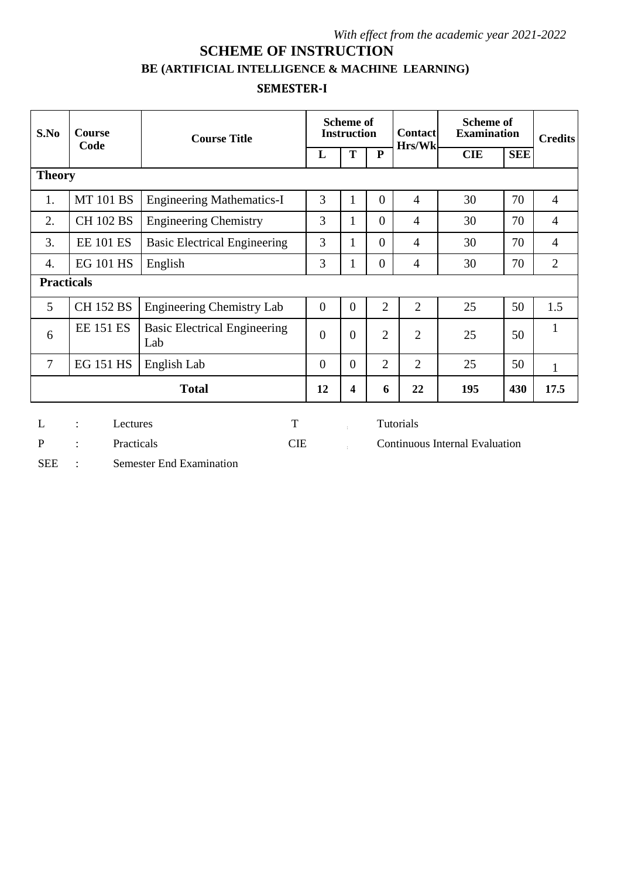# **SCHEME OF INSTRUCTION**

## **BE (ARTIFICIAL INTELLIGENCE & MACHINE LEARNING)**

## **SEMESTER-I**

| S.No | <b>Course</b><br>Code | <b>Course Title</b>                        | <b>Scheme of</b><br><b>Instruction</b> | <b>Contact</b><br>Hrs/Wk | <b>Scheme of</b><br><b>Examination</b> |                | <b>Credits</b> |            |                |
|------|-----------------------|--------------------------------------------|----------------------------------------|--------------------------|----------------------------------------|----------------|----------------|------------|----------------|
|      |                       |                                            | L                                      | T                        | P                                      |                | <b>CIE</b>     | <b>SEE</b> |                |
|      | <b>Theory</b>         |                                            |                                        |                          |                                        |                |                |            |                |
| 1.   | <b>MT 101 BS</b>      | <b>Engineering Mathematics-I</b>           | 3                                      | $\mathbf{1}$             | $\overline{0}$                         | $\overline{4}$ | 30             | 70         | $\overline{4}$ |
| 2.   | <b>CH 102 BS</b>      | <b>Engineering Chemistry</b>               | 3                                      | 1                        | $\overline{0}$                         | $\overline{4}$ | 30             | 70         | $\overline{4}$ |
| 3.   | <b>EE 101 ES</b>      | <b>Basic Electrical Engineering</b>        | 3                                      | $\mathbf{1}$             | $\overline{0}$                         | $\overline{4}$ | 30             | 70         | $\overline{4}$ |
| 4.   | <b>EG 101 HS</b>      | English                                    | 3                                      | 1                        | $\boldsymbol{0}$                       | $\overline{4}$ | 30             | 70         | $\overline{2}$ |
|      | <b>Practicals</b>     |                                            |                                        |                          |                                        |                |                |            |                |
| 5    | <b>CH 152 BS</b>      | <b>Engineering Chemistry Lab</b>           | $\overline{0}$                         | $\overline{0}$           | $\overline{2}$                         | $\overline{2}$ | 25             | 50         | 1.5            |
| 6    | <b>EE 151 ES</b>      | <b>Basic Electrical Engineering</b><br>Lab | $\overline{0}$                         | $\theta$                 | $\overline{2}$                         | $\overline{2}$ | 25             | 50         | $\mathbf{1}$   |
| 7    | <b>EG 151 HS</b>      | English Lab                                | $\theta$                               | $\overline{0}$           | $\overline{2}$                         | $\overline{2}$ | 25             | 50         | $\mathbf{1}$   |
|      |                       | <b>Total</b>                               | 12                                     | 4                        | 6                                      | 22             | 195            | 430        | 17.5           |
|      |                       |                                            |                                        |                          |                                        |                |                |            |                |

L : Lectures T Tutorials

P : Practicals CIE COntinuous Internal Evaluation

SEE : Semester End Examination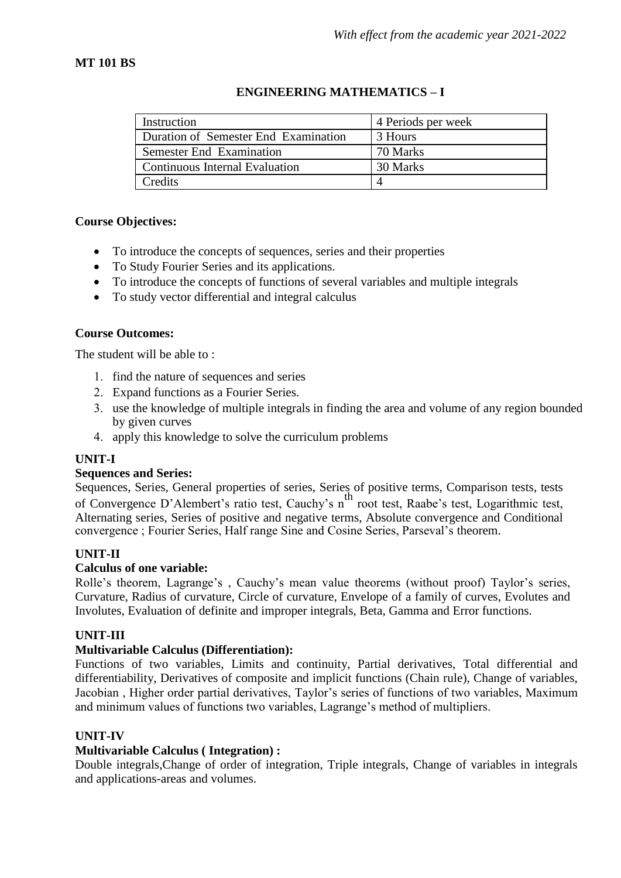## **MT 101 BS**

## **ENGINEERING MATHEMATICS – I**

| Instruction                           | 4 Periods per week |  |  |
|---------------------------------------|--------------------|--|--|
| Duration of Semester End Examination  | 3 Hours            |  |  |
| <b>Semester End Examination</b>       | 70 Marks           |  |  |
| <b>Continuous Internal Evaluation</b> | 30 Marks           |  |  |
| Credits                               |                    |  |  |

#### **Course Objectives:**

- To introduce the concepts of sequences, series and their properties
- To Study Fourier Series and its applications.
- To introduce the concepts of functions of several variables and multiple integrals
- To study vector differential and integral calculus

#### **Course Outcomes:**

The student will be able to :

- 1. find the nature of sequences and series
- Expand functions as a Fourier Series.
- use the knowledge of multiple integrals in finding the area and volume of any region bounded by given curves
- apply this knowledge to solve the curriculum problems

#### **UNIT-I**

#### **Sequences and Series:**

Sequences, Series, General properties of series, Series of positive terms, Comparison tests, tests of Convergence D'Alembert's ratio test, Cauchy's n<sup>th</sup> root test, Raabe's test, Logarithmic test, Alternating series, Series of positive and negative terms, Absolute convergence and Conditional convergence ; Fourier Series, Half range Sine and Cosine Series, Parseval's theorem.

#### **UNIT-II**

#### **Calculus of one variable:**

Rolle's theorem, Lagrange's , Cauchy's mean value theorems (without proof) Taylor's series, Curvature, Radius of curvature, Circle of curvature, Envelope of a family of curves, Evolutes and Involutes, Evaluation of definite and improper integrals, Beta, Gamma and Error functions.

#### **UNIT-III**

#### **Multivariable Calculus (Differentiation):**

Functions of two variables, Limits and continuity, Partial derivatives, Total differential and differentiability, Derivatives of composite and implicit functions (Chain rule), Change of variables, Jacobian , Higher order partial derivatives, Taylor's series of functions of two variables, Maximum and minimum values of functions two variables, Lagrange's method of multipliers.

#### **UNIT-IV**

#### **Multivariable Calculus ( Integration) :**

Double integrals,Change of order of integration, Triple integrals, Change of variables in integrals and applications-areas and volumes.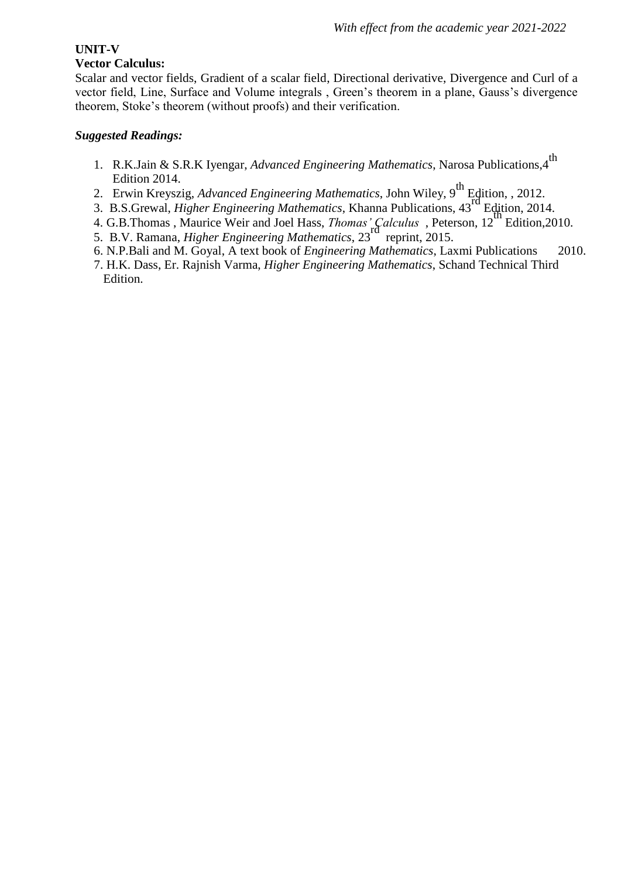## **UNIT-V**

## **Vector Calculus:**

Scalar and vector fields, Gradient of a scalar field, Directional derivative, Divergence and Curl of a vector field, Line, Surface and Volume integrals , Green's theorem in a plane, Gauss's divergence theorem, Stoke's theorem (without proofs) and their verification.

- 1. R.K.Jain & S.R.K Iyengar, *Advanced Engineering Mathematics*, Narosa Publications, 4<sup>th</sup> Edition 2014.
- 2. Erwin Kreyszig, *Advanced Engineering Mathematics*, John Wiley, 9th Edition, , 2012.
- 2. Erwin Kreyszig, Advanced Engineering Mathematics, Solin Wriey, 2014<br>3. B.S.Grewal, *Higher Engineering Mathematics*, Khanna Publications, 43<sup>rd</sup> Edition, 2014.
- 4. G.B.Thomas , Maurice Weir and Joel Hass, *Thomas' Calculus* , Peterson, 12th Edition,2010.
- 5. B.V. Ramana, *Higher Engineering Mathematics*, 23rd reprint, 2015.
- 6. N.P.Bali and M. Goyal, A text book of *Engineering Mathematics*, Laxmi Publications 2010.
- 7. H.K. Dass, Er. Rajnish Varma, *Higher Engineering Mathematics*, Schand Technical Third Edition.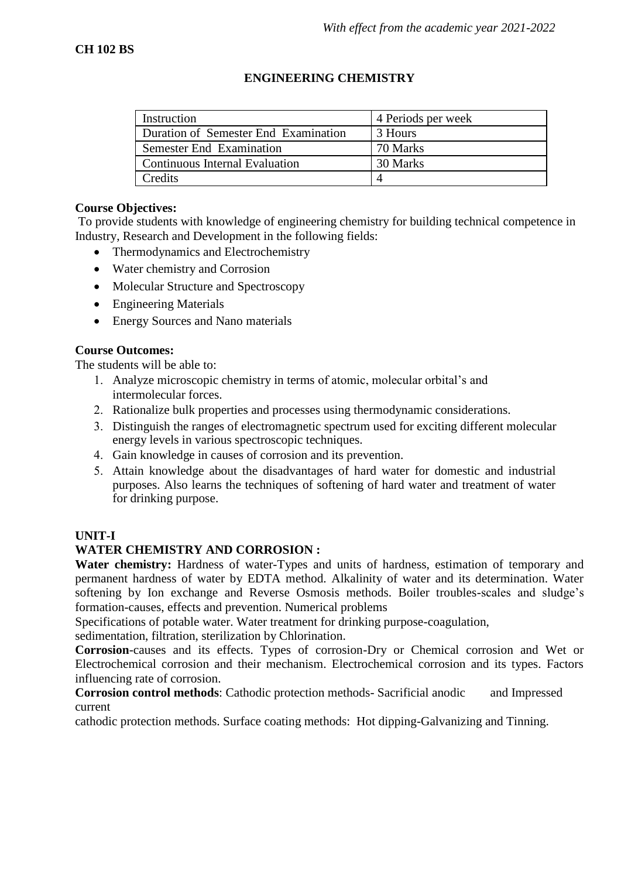## **ENGINEERING CHEMISTRY**

| Instruction                           | 4 Periods per week |
|---------------------------------------|--------------------|
| Duration of Semester End Examination  | 3 Hours            |
| <b>Semester End Examination</b>       | 70 Marks           |
| <b>Continuous Internal Evaluation</b> | 30 Marks           |
| Credits                               | $\Delta$           |

### **Course Objectives:**

To provide students with knowledge of engineering chemistry for building technical competence in Industry, Research and Development in the following fields:

- Thermodynamics and Electrochemistry
- Water chemistry and Corrosion
- Molecular Structure and Spectroscopy
- Engineering Materials
- Energy Sources and Nano materials

## **Course Outcomes:**

The students will be able to:

- Analyze microscopic chemistry in terms of atomic, molecular orbital's and intermolecular forces.
- 2. Rationalize bulk properties and processes using thermodynamic considerations.
- Distinguish the ranges of electromagnetic spectrum used for exciting different molecular energy levels in various spectroscopic techniques.
- Gain knowledge in causes of corrosion and its prevention.
- Attain knowledge about the disadvantages of hard water for domestic and industrial purposes. Also learns the techniques of softening of hard water and treatment of water for drinking purpose.

#### **UNIT-I**

## **WATER CHEMISTRY AND CORROSION :**

**Water chemistry:** Hardness of water-Types and units of hardness, estimation of temporary and permanent hardness of water by EDTA method. Alkalinity of water and its determination. Water softening by Ion exchange and Reverse Osmosis methods. Boiler troubles-scales and sludge's formation-causes, effects and prevention. Numerical problems

Specifications of potable water. Water treatment for drinking purpose-coagulation,

sedimentation, filtration, sterilization by Chlorination.

**Corrosion**-causes and its effects. Types of corrosion-Dry or Chemical corrosion and Wet or Electrochemical corrosion and their mechanism. Electrochemical corrosion and its types. Factors influencing rate of corrosion.

**Corrosion control methods**: Cathodic protection methods- Sacrificial anodic and Impressed current

cathodic protection methods. Surface coating methods: Hot dipping-Galvanizing and Tinning.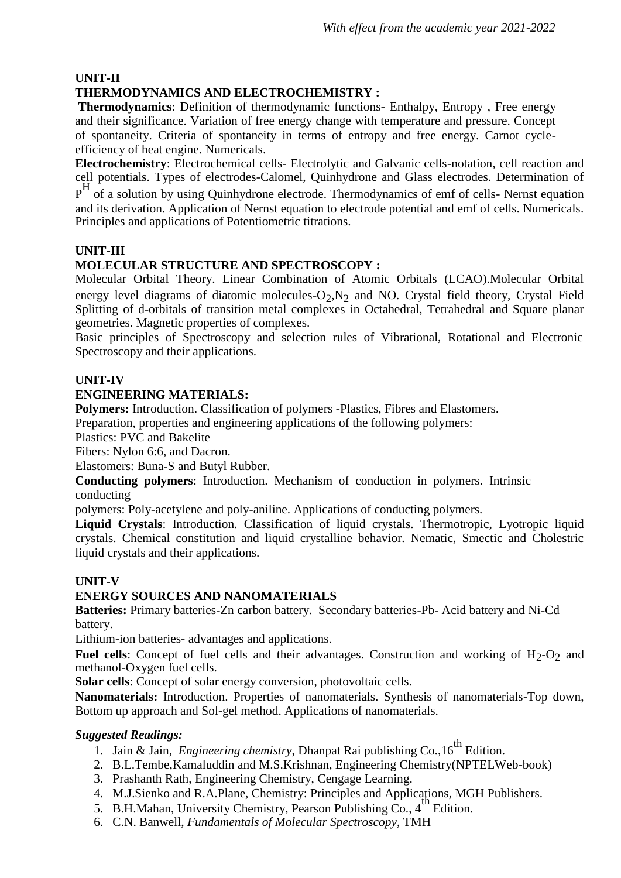## **UNIT-II**

## **THERMODYNAMICS AND ELECTROCHEMISTRY :**

**Thermodynamics**: Definition of thermodynamic functions- Enthalpy, Entropy , Free energy and their significance. Variation of free energy change with temperature and pressure. Concept of spontaneity. Criteria of spontaneity in terms of entropy and free energy. Carnot cycleefficiency of heat engine. Numericals.

**Electrochemistry**: Electrochemical cells- Electrolytic and Galvanic cells-notation, cell reaction and cell potentials. Types of electrodes-Calomel, Quinhydrone and Glass electrodes. Determination of pH of a solution by using Quinhydrone electrode. Thermodynamics of emf of cells- Nernst equation and its derivation. Application of Nernst equation to electrode potential and emf of cells. Numericals. Principles and applications of Potentiometric titrations.

## **UNIT-III**

## **MOLECULAR STRUCTURE AND SPECTROSCOPY :**

Molecular Orbital Theory. Linear Combination of Atomic Orbitals (LCAO).Molecular Orbital energy level diagrams of diatomic molecules- $O_2$ ,  $N_2$  and NO. Crystal field theory, Crystal Field Splitting of d-orbitals of transition metal complexes in Octahedral, Tetrahedral and Square planar geometries. Magnetic properties of complexes.

Basic principles of Spectroscopy and selection rules of Vibrational, Rotational and Electronic Spectroscopy and their applications.

## **UNIT-IV**

## **ENGINEERING MATERIALS:**

**Polymers:** Introduction. Classification of polymers -Plastics, Fibres and Elastomers.

Preparation, properties and engineering applications of the following polymers:

Plastics: PVC and Bakelite

Fibers: Nylon 6:6, and Dacron.

Elastomers: Buna-S and Butyl Rubber.

**Conducting polymers**: Introduction. Mechanism of conduction in polymers. Intrinsic conducting

polymers: Poly-acetylene and poly-aniline. Applications of conducting polymers.

**Liquid Crystals**: Introduction. Classification of liquid crystals. Thermotropic, Lyotropic liquid crystals. Chemical constitution and liquid crystalline behavior. Nematic, Smectic and Cholestric liquid crystals and their applications.

## **UNIT-V**

## **ENERGY SOURCES AND NANOMATERIALS**

**Batteries:** Primary batteries-Zn carbon battery. Secondary batteries-Pb- Acid battery and Ni-Cd battery.

Lithium-ion batteries- advantages and applications.

**Fuel cells**: Concept of fuel cells and their advantages. Construction and working of  $H_2-O_2$  and methanol-Oxygen fuel cells.

**Solar cells**: Concept of solar energy conversion, photovoltaic cells.

**Nanomaterials:** Introduction. Properties of nanomaterials. Synthesis of nanomaterials-Top down, Bottom up approach and Sol-gel method. Applications of nanomaterials.

- 1. Jain & Jain, *Engineering chemistry*, Dhanpat Rai publishing Co., 16<sup>th</sup> Edition.
- 2. B.L.Tembe,Kamaluddin and M.S.Krishnan, Engineering Chemistry(NPTELWeb-book)
- 3. Prashanth Rath, Engineering Chemistry, Cengage Learning.
- 4. M.J.Sienko and R.A.Plane, Chemistry: Principles and Applications, MGH Publishers.
- 5. B.H.Mahan, University Chemistry, Pearson Publishing Co., 4<sup>th</sup> Edition.
- 6. C.N. Banwell, *Fundamentals of Molecular Spectroscopy*, TMH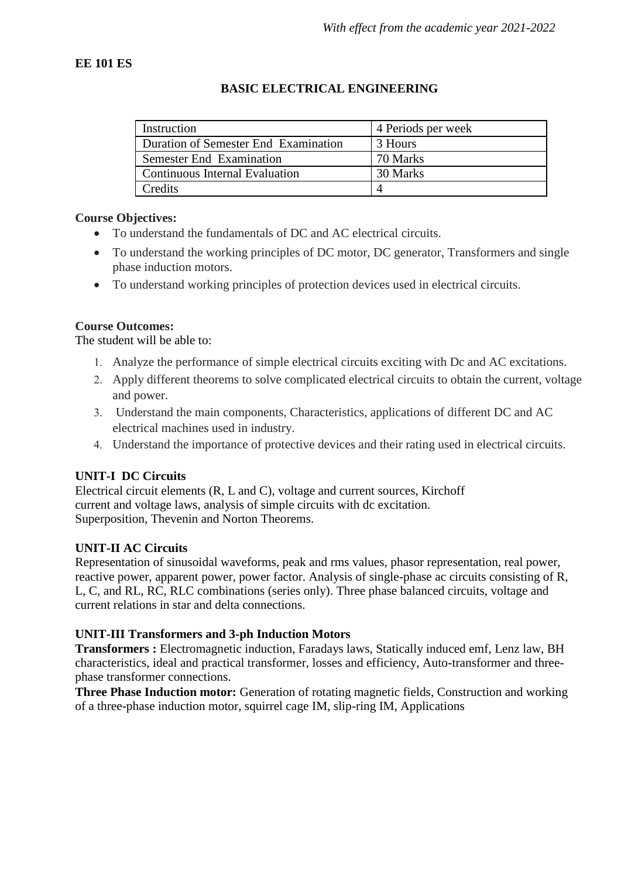## **EE 101 ES**

## **BASIC ELECTRICAL ENGINEERING**

| Instruction                          | 4 Periods per week |  |  |
|--------------------------------------|--------------------|--|--|
| Duration of Semester End Examination | 3 Hours            |  |  |
| Semester End Examination             | 70 Marks           |  |  |
| Continuous Internal Evaluation       | 30 Marks           |  |  |
| Credits                              |                    |  |  |

## **Course Objectives:**

- To understand the fundamentals of DC and AC electrical circuits.
- To understand the working principles of DC motor, DC generator, Transformers and single phase induction motors.
- To understand working principles of protection devices used in electrical circuits.

## **Course Outcomes:**

The student will be able to:

- Analyze the performance of simple electrical circuits exciting with Dc and AC excitations.
- Apply different theorems to solve complicated electrical circuits to obtain the current, voltage and power.
- Understand the main components, Characteristics, applications of different DC and AC electrical machines used in industry.
- Understand the importance of protective devices and their rating used in electrical circuits.

## **UNIT-I DC Circuits**

Electrical circuit elements (R, L and C), voltage and current sources, Kirchoff current and voltage laws, analysis of simple circuits with dc excitation. Superposition, Thevenin and Norton Theorems.

## **UNIT-II AC Circuits**

Representation of sinusoidal waveforms, peak and rms values, phasor representation, real power, reactive power, apparent power, power factor. Analysis of single-phase ac circuits consisting of R, L, C, and RL, RC, RLC combinations (series only). Three phase balanced circuits, voltage and current relations in star and delta connections.

## **UNIT-III Transformers and 3-ph Induction Motors**

**Transformers :** Electromagnetic induction, Faradays laws, Statically induced emf, Lenz law, BH characteristics, ideal and practical transformer, losses and efficiency, Auto-transformer and threephase transformer connections.

**Three Phase Induction motor:** Generation of rotating magnetic fields, Construction and working of a three-phase induction motor, squirrel cage IM, slip-ring IM, Applications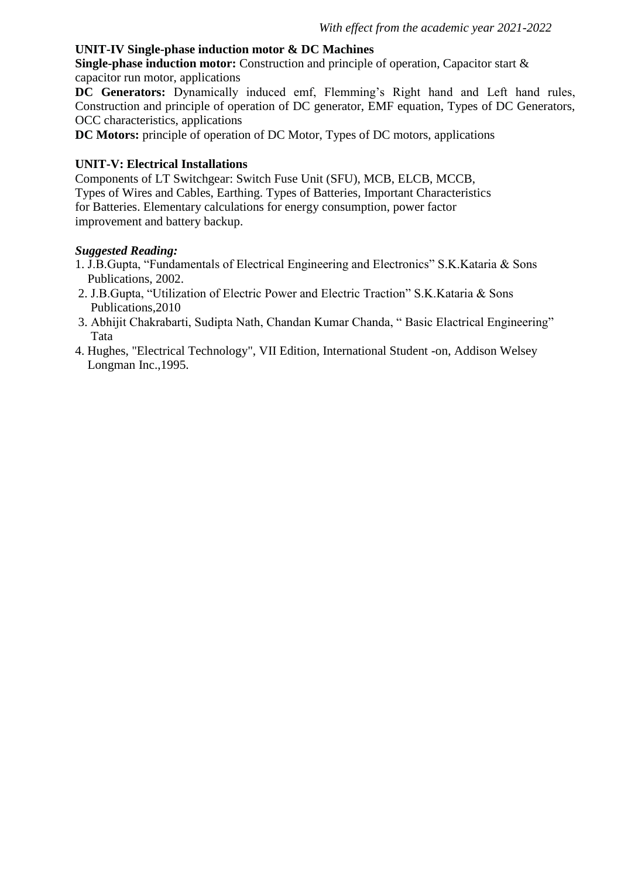### **UNIT-IV Single-phase induction motor & DC Machines**

**Single-phase induction motor:** Construction and principle of operation, Capacitor start & capacitor run motor, applications

**DC Generators:** Dynamically induced emf, Flemming's Right hand and Left hand rules, Construction and principle of operation of DC generator, EMF equation, Types of DC Generators, OCC characteristics, applications

**DC Motors:** principle of operation of DC Motor, Types of DC motors, applications

#### **UNIT-V: Electrical Installations**

Components of LT Switchgear: Switch Fuse Unit (SFU), MCB, ELCB, MCCB, Types of Wires and Cables, Earthing. Types of Batteries, Important Characteristics for Batteries. Elementary calculations for energy consumption, power factor improvement and battery backup.

- 1. J.B.Gupta, "Fundamentals of Electrical Engineering and Electronics" S.K.Kataria & Sons Publications, 2002.
- 2. J.B.Gupta, "Utilization of Electric Power and Electric Traction" S.K.Kataria & Sons Publications,2010
- 3. Abhijit Chakrabarti, Sudipta Nath, Chandan Kumar Chanda, " Basic Elactrical Engineering" Tata
- 4. Hughes, "Electrical Technology", VII Edition, International Student -on, Addison Welsey Longman Inc.,1995.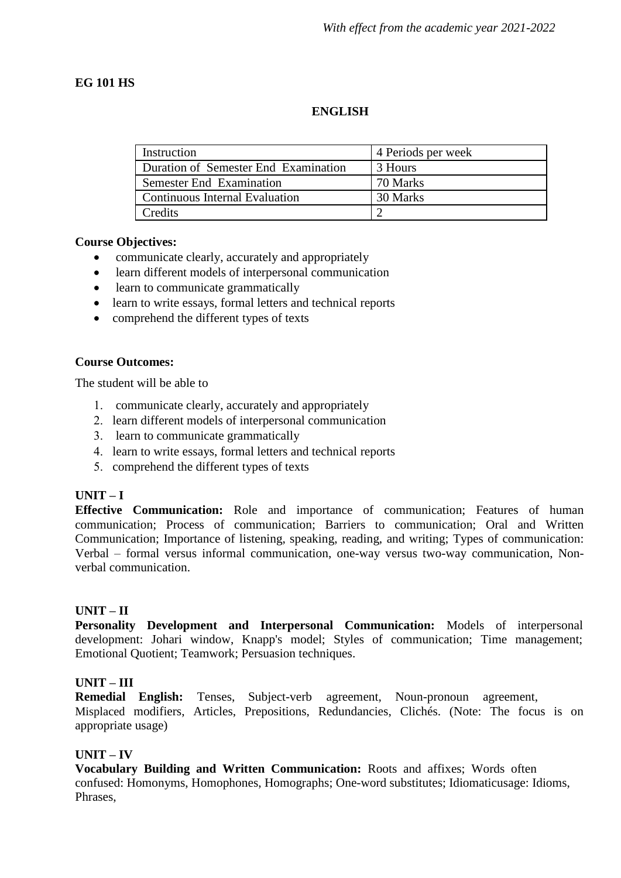## **EG 101 HS**

### **ENGLISH**

| Instruction                          | 4 Periods per week |  |  |
|--------------------------------------|--------------------|--|--|
| Duration of Semester End Examination | 3 Hours            |  |  |
| Semester End Examination             | 70 Marks           |  |  |
| Continuous Internal Evaluation       | 30 Marks           |  |  |
| Credits                              |                    |  |  |

#### **Course Objectives:**

- communicate clearly, accurately and appropriately
- learn different models of interpersonal communication
- learn to communicate grammatically
- learn to write essays, formal letters and technical reports
- comprehend the different types of texts

### **Course Outcomes:**

The student will be able to

- communicate clearly, accurately and appropriately
- 2. learn different models of interpersonal communication
- 3. learn to communicate grammatically
- learn to write essays, formal letters and technical reports
- 5. comprehend the different types of texts

## **UNIT – I**

**Effective Communication:** Role and importance of communication; Features of human communication; Process of communication; Barriers to communication; Oral and Written Communication; Importance of listening, speaking, reading, and writing; Types of communication: Verbal – formal versus informal communication, one-way versus two-way communication, Nonverbal communication.

## **UNIT – II**

**Personality Development and Interpersonal Communication:** Models of interpersonal development: Johari window, Knapp's model; Styles of communication; Time management; Emotional Quotient; Teamwork; Persuasion techniques.

#### **UNIT – III**

**Remedial English:** Tenses, Subject-verb agreement, Noun-pronoun agreement, Misplaced modifiers, Articles, Prepositions, Redundancies, Clichés. (Note: The focus is on appropriate usage)

#### **UNIT – IV**

**Vocabulary Building and Written Communication:** Roots and affixes; Words often confused: Homonyms, Homophones, Homographs; One-word substitutes; Idiomaticusage: Idioms, Phrases,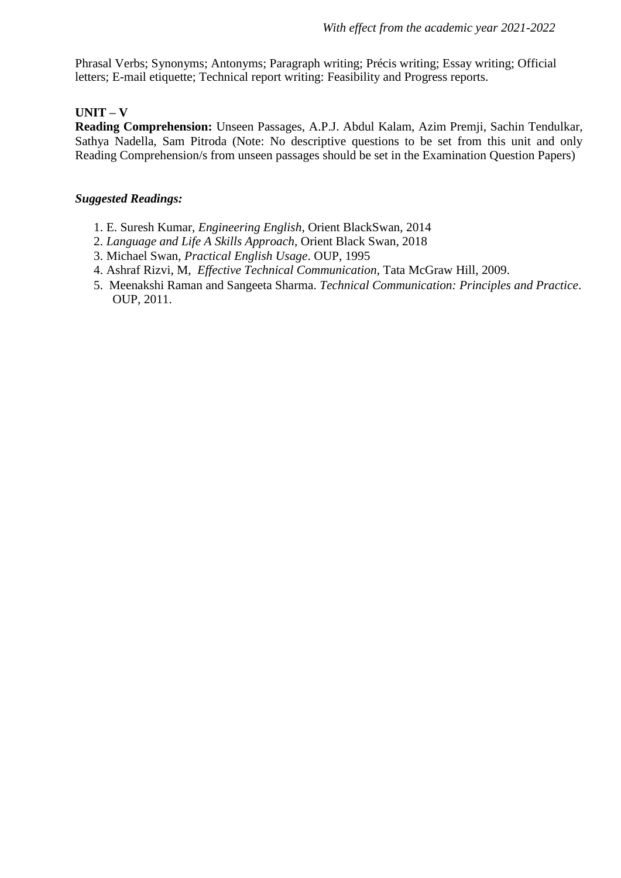Phrasal Verbs; Synonyms; Antonyms; Paragraph writing; Précis writing; Essay writing; Official letters; E-mail etiquette; Technical report writing: Feasibility and Progress reports.

## **UNIT – V**

**Reading Comprehension:** Unseen Passages, A.P.J. Abdul Kalam, Azim Premji, Sachin Tendulkar, Sathya Nadella, Sam Pitroda (Note: No descriptive questions to be set from this unit and only Reading Comprehension/s from unseen passages should be set in the Examination Question Papers)

- 1. E. Suresh Kumar, *Engineering English*, Orient BlackSwan, 2014
- 2. *Language and Life A Skills Approach*, Orient Black Swan, 2018
- 3. Michael Swan, *Practical English Usage*. OUP, 1995
- 4. Ashraf Rizvi, M, *Effective Technical Communication*, Tata McGraw Hill, 2009.
- 5. Meenakshi Raman and Sangeeta Sharma. *Technical Communication: Principles and Practice*. OUP, 2011.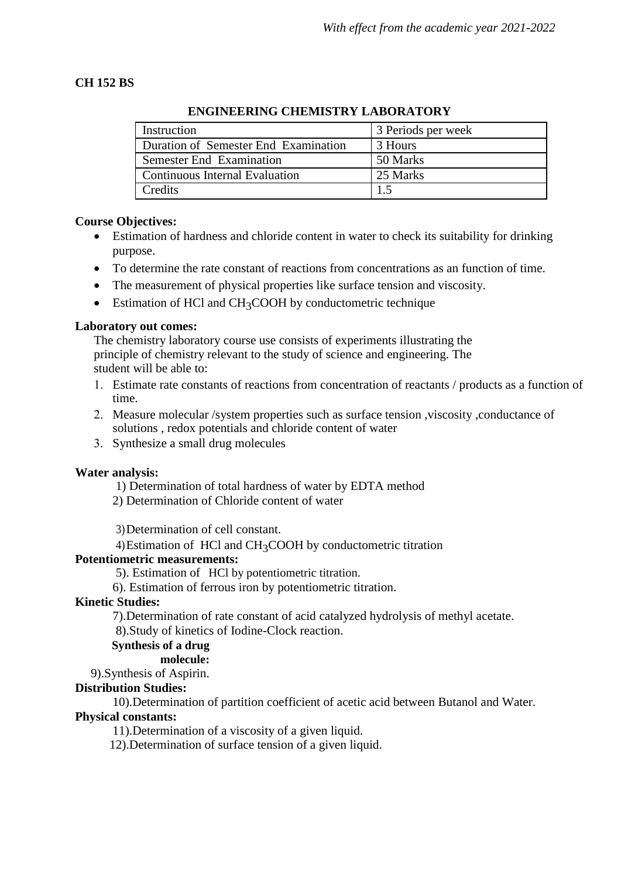## **CH 152 BS**

| Instruction                          | 3 Periods per week |
|--------------------------------------|--------------------|
| Duration of Semester End Examination | 3 Hours            |
| Semester End Examination             | 50 Marks           |
| Continuous Internal Evaluation       | 25 Marks           |
| Credits                              |                    |

## **ENGINEERING CHEMISTRY LABORATORY**

## **Course Objectives:**

- Estimation of hardness and chloride content in water to check its suitability for drinking purpose.
- To determine the rate constant of reactions from concentrations as an function of time.
- The measurement of physical properties like surface tension and viscosity.
- Estimation of HCl and CH<sub>3</sub>COOH by conductometric technique

## **Laboratory out comes:**

The chemistry laboratory course use consists of experiments illustrating the principle of chemistry relevant to the study of science and engineering. The student will be able to:

- Estimate rate constants of reactions from concentration of reactants / products as a function of time.
- Measure molecular /system properties such as surface tension ,viscosity ,conductance of solutions , redox potentials and chloride content of water
- Synthesize a small drug molecules

## **Water analysis:**

1) Determination of total hardness of water by EDTA method

2) Determination of Chloride content of water

3)Determination of cell constant.

4)Estimation of HCl and CH3COOH by conductometric titration

## **Potentiometric measurements:**

5). Estimation of HCl by potentiometric titration.

6). Estimation of ferrous iron by potentiometric titration.

## **Kinetic Studies:**

7).Determination of rate constant of acid catalyzed hydrolysis of methyl acetate.

8).Study of kinetics of Iodine-Clock reaction.

## **Synthesis of a drug**

## **molecule:**

9).Synthesis of Aspirin.

## **Distribution Studies:**

10).Determination of partition coefficient of acetic acid between Butanol and Water.

## **Physical constants:**

11).Determination of a viscosity of a given liquid.

12).Determination of surface tension of a given liquid.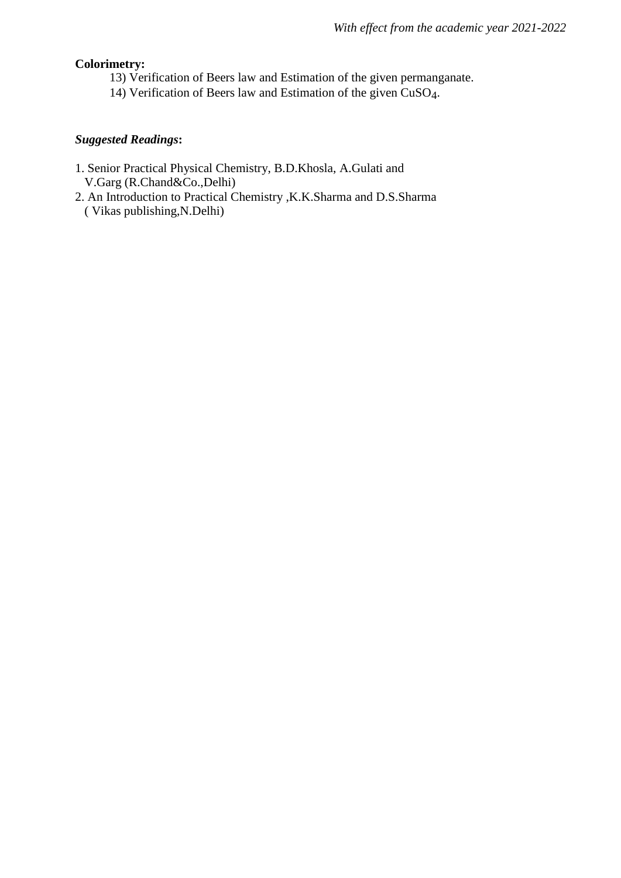## **Colorimetry:**

- 13) Verification of Beers law and Estimation of the given permanganate.
- 14) Verification of Beers law and Estimation of the given CuSO4.

- 1. Senior Practical Physical Chemistry, B.D.Khosla, A.Gulati and V.Garg (R.Chand&Co.,Delhi)
- 2. An Introduction to Practical Chemistry ,K.K.Sharma and D.S.Sharma ( Vikas publishing,N.Delhi)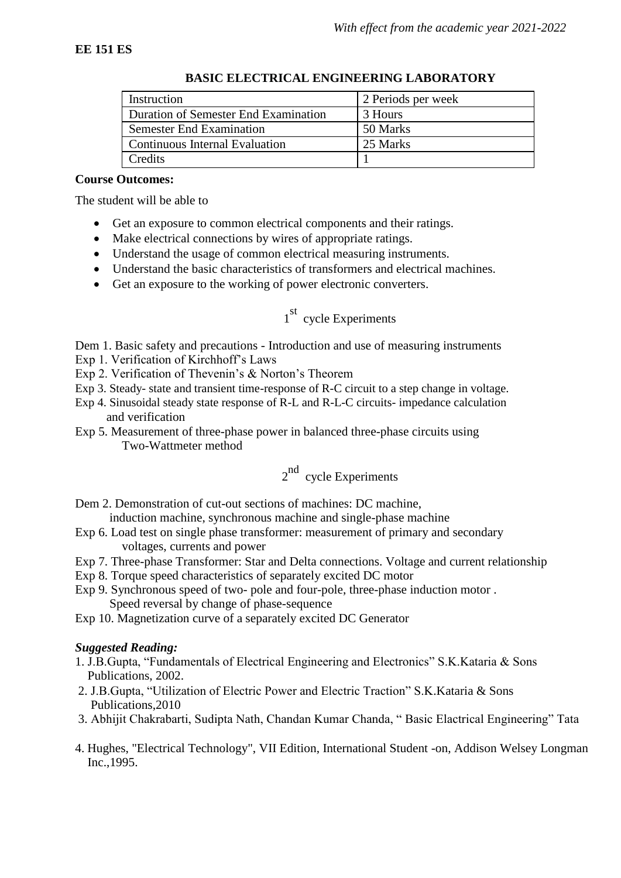| Instruction                          | 2 Periods per week |  |  |
|--------------------------------------|--------------------|--|--|
| Duration of Semester End Examination | 3 Hours            |  |  |
| <b>Semester End Examination</b>      | 50 Marks           |  |  |
| Continuous Internal Evaluation       | 25 Marks           |  |  |
| Credits                              |                    |  |  |

#### **BASIC ELECTRICAL ENGINEERING LABORATORY**

#### **Course Outcomes:**

The student will be able to

- Get an exposure to common electrical components and their ratings.
- Make electrical connections by wires of appropriate ratings.
- Understand the usage of common electrical measuring instruments.
- Understand the basic characteristics of transformers and electrical machines.
- Get an exposure to the working of power electronic converters.

# 1<sup>st</sup> cycle Experiments

Dem 1. Basic safety and precautions - Introduction and use of measuring instruments

- Exp 1. Verification of Kirchhoff's Laws
- Exp 2. Verification of Thevenin's & Norton's Theorem
- Exp 3. Steady- state and transient time-response of R-C circuit to a step change in voltage.
- Exp 4. Sinusoidal steady state response of R-L and R-L-C circuits- impedance calculation and verification
- Exp 5. Measurement of three-phase power in balanced three-phase circuits using Two-Wattmeter method

# 2<sup>nd</sup> cycle Experiments

Dem 2. Demonstration of cut-out sections of machines: DC machine,

induction machine, synchronous machine and single-phase machine

- Exp 6. Load test on single phase transformer: measurement of primary and secondary voltages, currents and power
- Exp 7. Three-phase Transformer: Star and Delta connections. Voltage and current relationship
- Exp 8. Torque speed characteristics of separately excited DC motor
- Exp 9. Synchronous speed of two- pole and four-pole, three-phase induction motor . Speed reversal by change of phase-sequence

Exp 10. Magnetization curve of a separately excited DC Generator

- 1. J.B.Gupta, "Fundamentals of Electrical Engineering and Electronics" S.K.Kataria & Sons Publications, 2002.
- 2. J.B.Gupta, "Utilization of Electric Power and Electric Traction" S.K.Kataria & Sons Publications,2010
- 3. Abhijit Chakrabarti, Sudipta Nath, Chandan Kumar Chanda, " Basic Elactrical Engineering" Tata
- 4. Hughes, "Electrical Technology", VII Edition, International Student -on, Addison Welsey Longman Inc.,1995.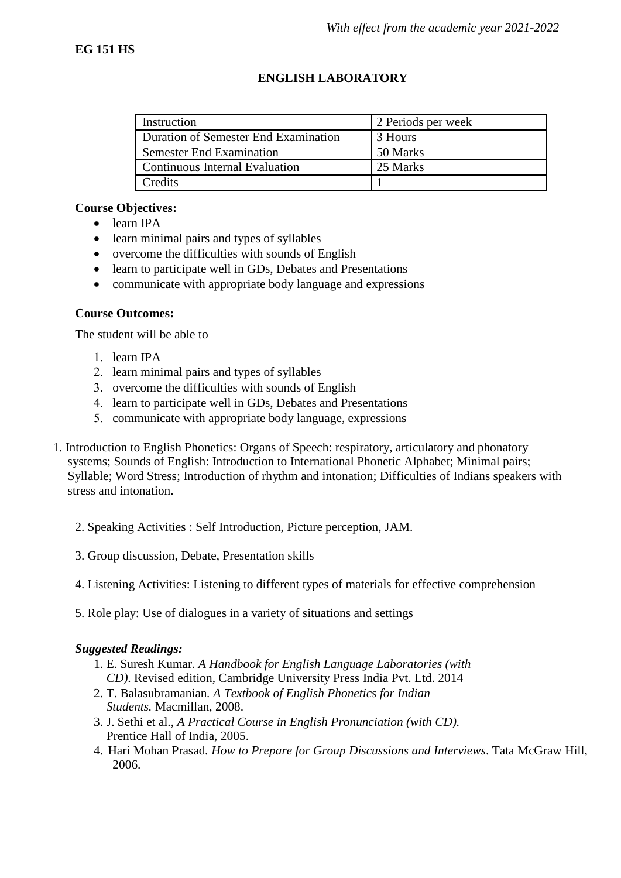## **ENGLISH LABORATORY**

| Instruction                          | 2 Periods per week |  |  |
|--------------------------------------|--------------------|--|--|
| Duration of Semester End Examination | 3 Hours            |  |  |
| <b>Semester End Examination</b>      | 50 Marks           |  |  |
| Continuous Internal Evaluation       | 25 Marks           |  |  |
| Credits                              |                    |  |  |

## **Course Objectives:**

- learn IPA
- learn minimal pairs and types of syllables
- overcome the difficulties with sounds of English
- learn to participate well in GDs, Debates and Presentations
- communicate with appropriate body language and expressions

## **Course Outcomes:**

The student will be able to

- 1. learn IPA
- 2. learn minimal pairs and types of syllables
- 3. overcome the difficulties with sounds of English
- 4. learn to participate well in GDs, Debates and Presentations
- communicate with appropriate body language, expressions
- 1. Introduction to English Phonetics: Organs of Speech: respiratory, articulatory and phonatory systems; Sounds of English: Introduction to International Phonetic Alphabet; Minimal pairs: Syllable; Word Stress; Introduction of rhythm and intonation; Difficulties of Indians speakers with stress and intonation.
	- 2. Speaking Activities : Self Introduction, Picture perception, JAM.
	- 3. Group discussion, Debate, Presentation skills
	- 4. Listening Activities: Listening to different types of materials for effective comprehension
	- 5. Role play: Use of dialogues in a variety of situations and settings

- 1. E. Suresh Kumar. *A Handbook for English Language Laboratories (with CD)*. Revised edition, Cambridge University Press India Pvt. Ltd. 2014
- 2. T. Balasubramanian*. A Textbook of English Phonetics for Indian Students.* Macmillan, 2008.
- 3. J. Sethi et al., *A Practical Course in English Pronunciation (with CD).* Prentice Hall of India, 2005.
- 4. Hari Mohan Prasad*. How to Prepare for Group Discussions and Interviews*. Tata McGraw Hill, 2006.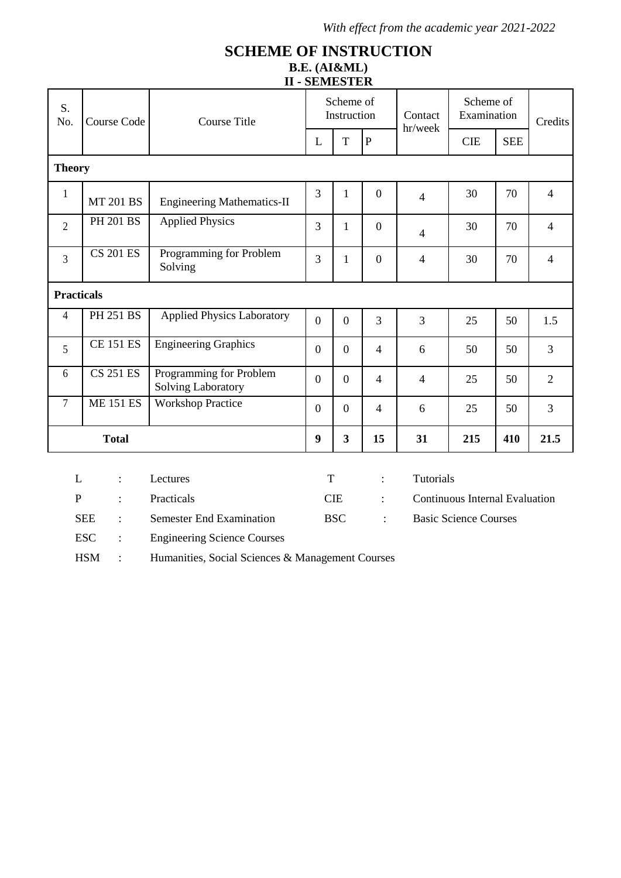## **SCHEME OF INSTRUCTION B.E. (AI&ML) II - SEMESTER**

|                   |                                           |                                                      |                  | <u>,,,,,,,,,,,,,,</u>    |                  |                    |                                       |            |                |
|-------------------|-------------------------------------------|------------------------------------------------------|------------------|--------------------------|------------------|--------------------|---------------------------------------|------------|----------------|
| S.<br>No.         | <b>Course Code</b><br><b>Course Title</b> |                                                      |                  | Scheme of<br>Instruction |                  | Contact<br>hr/week | Scheme of<br>Examination              |            | Credits        |
|                   |                                           |                                                      | L                | T                        | $\mathbf{P}$     |                    | <b>CIE</b>                            | <b>SEE</b> |                |
| <b>Theory</b>     |                                           |                                                      |                  |                          |                  |                    |                                       |            |                |
| $\mathbf{1}$      | <b>MT 201 BS</b>                          | <b>Engineering Mathematics-II</b>                    | 3                | $\mathbf{1}$             | $\overline{0}$   | $\overline{4}$     | 30                                    | 70         | $\overline{4}$ |
| $\overline{2}$    | <b>PH 201 BS</b>                          | <b>Applied Physics</b>                               | 3                | $\mathbf{1}$             | $\overline{0}$   | $\overline{4}$     | 30                                    | 70         | $\overline{4}$ |
| 3                 | $CS$ $201$ $ES$                           | Programming for Problem<br>Solving                   | 3                | 1                        | $\boldsymbol{0}$ | $\overline{4}$     | 30                                    | 70         | $\overline{4}$ |
| <b>Practicals</b> |                                           |                                                      |                  |                          |                  |                    |                                       |            |                |
| 4                 | <b>PH 251 BS</b>                          | <b>Applied Physics Laboratory</b>                    | $\overline{0}$   | $\overline{0}$           | 3                | 3                  | 25                                    | 50         | 1.5            |
| 5                 | <b>CE 151 ES</b>                          | <b>Engineering Graphics</b>                          | $\overline{0}$   | $\overline{0}$           | $\overline{4}$   | 6                  | 50                                    | 50         | 3              |
| 6                 | <b>CS 251 ES</b>                          | Programming for Problem<br><b>Solving Laboratory</b> | $\boldsymbol{0}$ | $\boldsymbol{0}$         | $\overline{4}$   | $\overline{4}$     | 25                                    | 50         | $\overline{2}$ |
| $\overline{7}$    | <b>ME 151 ES</b>                          | <b>Workshop Practice</b>                             | $\overline{0}$   | $\overline{0}$           | $\overline{4}$   | 6                  | 25                                    | 50         | 3              |
|                   | <b>Total</b>                              |                                                      | 9                | $\mathbf{3}$             | 15               | 31                 | 215                                   | 410        | 21.5           |
|                   |                                           |                                                      |                  |                          |                  |                    |                                       |            |                |
| L                 | $\ddot{\cdot}$                            | Lectures                                             | T                |                          | $\ddot{\cdot}$   | Tutorials          |                                       |            |                |
| $\overline{P}$    | $\ddot{\cdot}$                            | Practicals                                           |                  | <b>CIE</b>               | $\ddot{\cdot}$   |                    | <b>Continuous Internal Evaluation</b> |            |                |
|                   | <b>SEE</b><br>$\ddot{\cdot}$              | <b>Semester End Examination</b>                      |                  | <b>BSC</b>               | $\ddot{\cdot}$   |                    | <b>Basic Science Courses</b>          |            |                |
|                   | <b>ESC</b><br>$\ddot{\cdot}$              | <b>Engineering Science Courses</b>                   |                  |                          |                  |                    |                                       |            |                |

HSM : Humanities, Social Sciences & Management Courses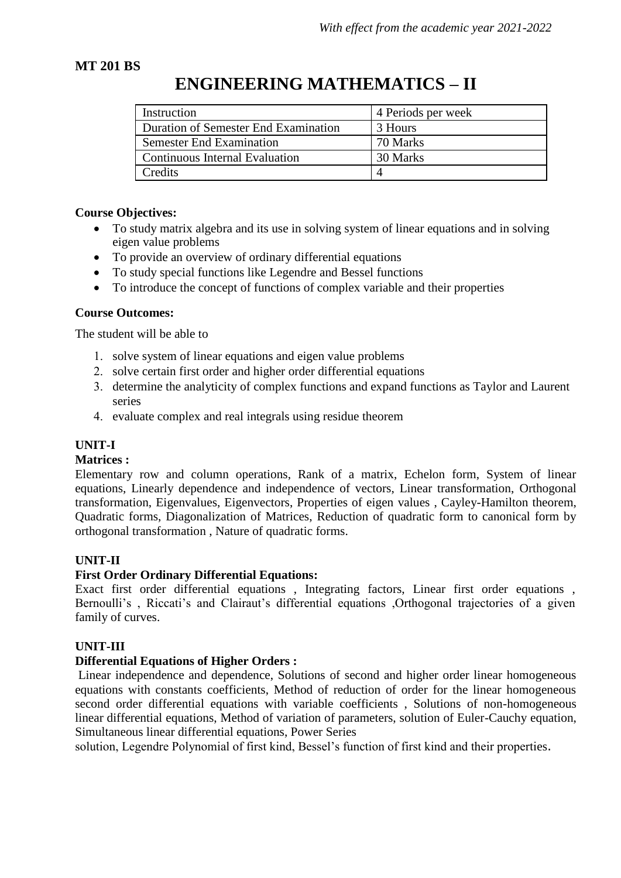## **MT 201 BS**

# **ENGINEERING MATHEMATICS – II**

| Instruction                          | 4 Periods per week |  |  |
|--------------------------------------|--------------------|--|--|
| Duration of Semester End Examination | 3 Hours            |  |  |
| <b>Semester End Examination</b>      | 70 Marks           |  |  |
| Continuous Internal Evaluation       | 30 Marks           |  |  |
| Credits                              |                    |  |  |

## **Course Objectives:**

- To study matrix algebra and its use in solving system of linear equations and in solving eigen value problems
- To provide an overview of ordinary differential equations
- To study special functions like Legendre and Bessel functions
- To introduce the concept of functions of complex variable and their properties

## **Course Outcomes:**

The student will be able to

- 1. solve system of linear equations and eigen value problems
- 2. solve certain first order and higher order differential equations
- determine the analyticity of complex functions and expand functions as Taylor and Laurent series
- 4. evaluate complex and real integrals using residue theorem

## **UNIT-I**

#### **Matrices :**

Elementary row and column operations, Rank of a matrix, Echelon form, System of linear equations, Linearly dependence and independence of vectors, Linear transformation, Orthogonal transformation, Eigenvalues, Eigenvectors, Properties of eigen values , Cayley-Hamilton theorem, Quadratic forms, Diagonalization of Matrices, Reduction of quadratic form to canonical form by orthogonal transformation , Nature of quadratic forms.

## **UNIT-II**

## **First Order Ordinary Differential Equations:**

Exact first order differential equations , Integrating factors, Linear first order equations , Bernoulli's , Riccati's and Clairaut's differential equations ,Orthogonal trajectories of a given family of curves.

#### **UNIT-III**

#### **Differential Equations of Higher Orders :**

Linear independence and dependence, Solutions of second and higher order linear homogeneous equations with constants coefficients, Method of reduction of order for the linear homogeneous second order differential equations with variable coefficients , Solutions of non-homogeneous linear differential equations, Method of variation of parameters, solution of Euler-Cauchy equation, Simultaneous linear differential equations, Power Series

solution, Legendre Polynomial of first kind, Bessel's function of first kind and their properties.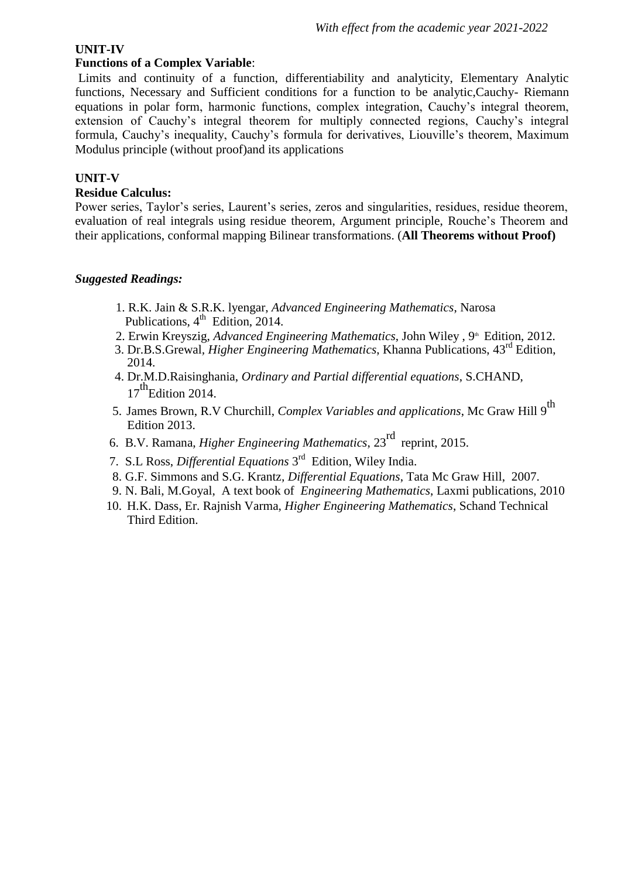#### **UNIT-IV**

## **Functions of a Complex Variable**:

Limits and continuity of a function, differentiability and analyticity, Elementary Analytic functions, Necessary and Sufficient conditions for a function to be analytic,Cauchy- Riemann equations in polar form, harmonic functions, complex integration, Cauchy's integral theorem, extension of Cauchy's integral theorem for multiply connected regions, Cauchy's integral formula, Cauchy's inequality, Cauchy's formula for derivatives, Liouville's theorem, Maximum Modulus principle (without proof)and its applications

## **UNIT-V**

#### **Residue Calculus:**

Power series, Taylor's series, Laurent's series, zeros and singularities, residues, residue theorem, evaluation of real integrals using residue theorem, Argument principle, Rouche's Theorem and their applications, conformal mapping Bilinear transformations. (**All Theorems without Proof)**

- 1. R.K. Jain & S.R.K. lyengar, *Advanced Engineering Mathematics*, Narosa Publications, 4<sup>th</sup> Edition, 2014.
- 2. Erwin Kreyszig, *Advanced Engineering Mathematics*, John Wiley, 9<sup>th</sup> Edition, 2012.
- 3. Dr.B.S.Grewal*, Higher Engineering Mathematics*, Khanna Publications, 43rd Edition, 2014.
- 4. Dr.M.D.Raisinghania, *Ordinary and Partial differential equations*, S.CHAND,  $17^{th}$ Edition 2014.
- 5. James Brown, R.V Churchill, *Complex Variables and applications*, Mc Graw Hill 9th Edition 2013.
- 6. B.V. Ramana, *Higher Engineering Mathematics*, 23rd reprint, 2015.
- 7. S.L Ross, *Differential Equations* 3 rd Edition, Wiley India.
- 8. G.F. Simmons and S.G. Krantz*, Differential Equations*, Tata Mc Graw Hill, 2007.
- 9. N. Bali, M.Goyal, A text book of *Engineering Mathematics*, Laxmi publications, 2010
- 10. H.K. Dass, Er. Rajnish Varma, *Higher Engineering Mathematics*, Schand Technical Third Edition.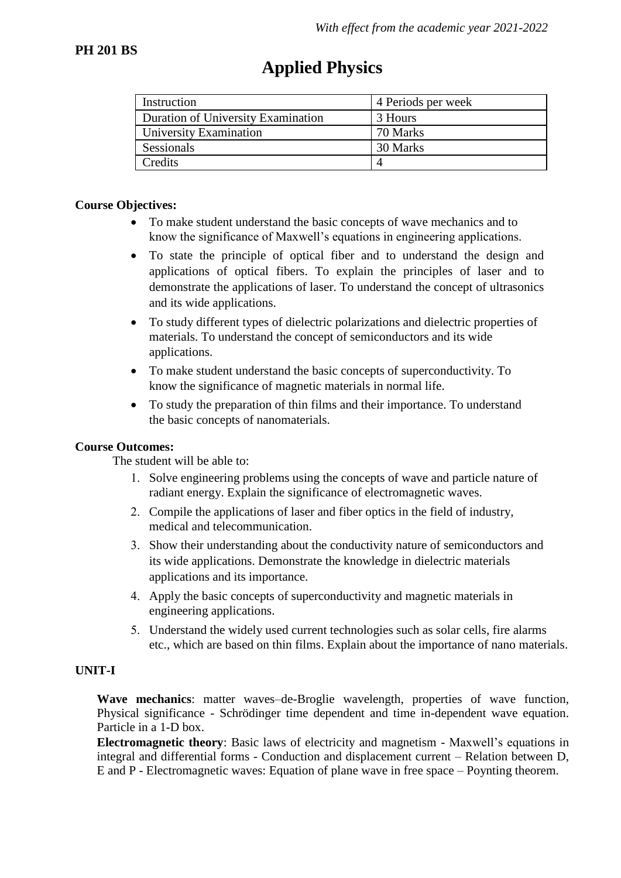| Instruction                        | 4 Periods per week |
|------------------------------------|--------------------|
| Duration of University Examination | 3 Hours            |
| University Examination             | 70 Marks           |
| Sessionals                         | 30 Marks           |
| Credits                            |                    |

# **Applied Physics**

#### **Course Objectives:**

- To make student understand the basic concepts of wave mechanics and to know the significance of Maxwell's equations in engineering applications.
- To state the principle of optical fiber and to understand the design and applications of optical fibers. To explain the principles of laser and to demonstrate the applications of laser. To understand the concept of ultrasonics and its wide applications.
- To study different types of dielectric polarizations and dielectric properties of materials. To understand the concept of semiconductors and its wide applications.
- To make student understand the basic concepts of superconductivity. To know the significance of magnetic materials in normal life.
- To study the preparation of thin films and their importance. To understand the basic concepts of nanomaterials.

#### **Course Outcomes:**

The student will be able to:

- Solve engineering problems using the concepts of wave and particle nature of radiant energy. Explain the significance of electromagnetic waves.
- Compile the applications of laser and fiber optics in the field of industry, medical and telecommunication.
- Show their understanding about the conductivity nature of semiconductors and its wide applications. Demonstrate the knowledge in dielectric materials applications and its importance.
- Apply the basic concepts of superconductivity and magnetic materials in engineering applications.
- Understand the widely used current technologies such as solar cells, fire alarms etc., which are based on thin films. Explain about the importance of nano materials.

#### **UNIT-I**

**Wave mechanics**: matter waves–de-Broglie wavelength, properties of wave function, Physical significance - Schrödinger time dependent and time in-dependent wave equation. Particle in a 1-D box.

**Electromagnetic theory**: Basic laws of electricity and magnetism - Maxwell's equations in integral and differential forms - Conduction and displacement current – Relation between D, E and P - Electromagnetic waves: Equation of plane wave in free space – Poynting theorem.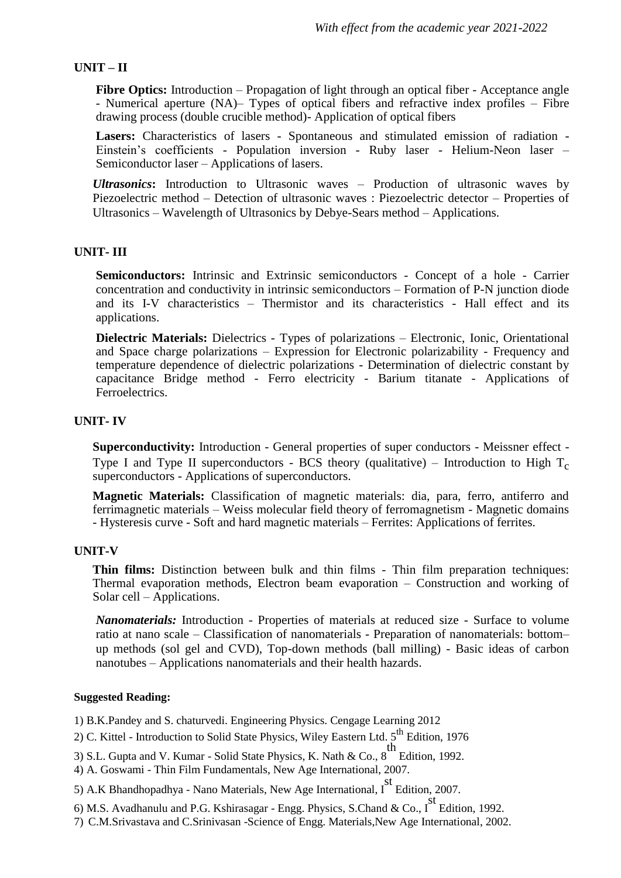#### **UNIT – II**

**Fibre Optics:** Introduction – Propagation of light through an optical fiber - Acceptance angle - Numerical aperture (NA)– Types of optical fibers and refractive index profiles – Fibre drawing process (double crucible method)- Application of optical fibers

**Lasers:** Characteristics of lasers - Spontaneous and stimulated emission of radiation - Einstein's coefficients - Population inversion - Ruby laser - Helium-Neon laser – Semiconductor laser – Applications of lasers.

*Ultrasonics***:** Introduction to Ultrasonic waves – Production of ultrasonic waves by Piezoelectric method – Detection of ultrasonic waves : Piezoelectric detector – Properties of Ultrasonics – Wavelength of Ultrasonics by Debye-Sears method – Applications.

#### **UNIT- III**

**Semiconductors:** Intrinsic and Extrinsic semiconductors - Concept of a hole - Carrier concentration and conductivity in intrinsic semiconductors – Formation of P-N junction diode and its I-V characteristics – Thermistor and its characteristics - Hall effect and its applications.

**Dielectric Materials:** Dielectrics - Types of polarizations – Electronic, Ionic, Orientational and Space charge polarizations – Expression for Electronic polarizability - Frequency and temperature dependence of dielectric polarizations - Determination of dielectric constant by capacitance Bridge method - Ferro electricity - Barium titanate - Applications of Ferroelectrics.

#### **UNIT- IV**

**Superconductivity:** Introduction - General properties of super conductors - Meissner effect - Type I and Type II superconductors - BCS theory (qualitative) – Introduction to High  $T_c$ superconductors - Applications of superconductors.

**Magnetic Materials:** Classification of magnetic materials: dia, para, ferro, antiferro and ferrimagnetic materials – Weiss molecular field theory of ferromagnetism - Magnetic domains - Hysteresis curve - Soft and hard magnetic materials – Ferrites: Applications of ferrites.

#### **UNIT-V**

**Thin films:** Distinction between bulk and thin films - Thin film preparation techniques: Thermal evaporation methods, Electron beam evaporation – Construction and working of Solar cell – Applications.

*Nanomaterials:* Introduction - Properties of materials at reduced size - Surface to volume ratio at nano scale – Classification of nanomaterials - Preparation of nanomaterials: bottom– up methods (sol gel and CVD), Top-down methods (ball milling) - Basic ideas of carbon nanotubes – Applications nanomaterials and their health hazards.

#### **Suggested Reading:**

1) B.K.Pandey and S. chaturvedi. Engineering Physics. Cengage Learning 2012

- 2) C. Kittel Introduction to Solid State Physics, Wiley Eastern Ltd.  $5<sup>th</sup>$  Edition, 1976
- 3) S.L. Gupta and V. Kumar Solid State Physics, K. Nath & Co.,  $8^{th}$  Edition, 1992.
- 4) A. Goswami Thin Film Fundamentals, New Age International, 2007.

5) A.K Bhandhopadhya - Nano Materials, New Age International, I Edition, 2007.

6) M.S. Avadhanulu and P.G. Kshirasagar - Engg. Physics, S.Chand & Co., I st Edition, 1992.

7) C.M.Srivastava and C.Srinivasan -Science of Engg. Materials,New Age International, 2002.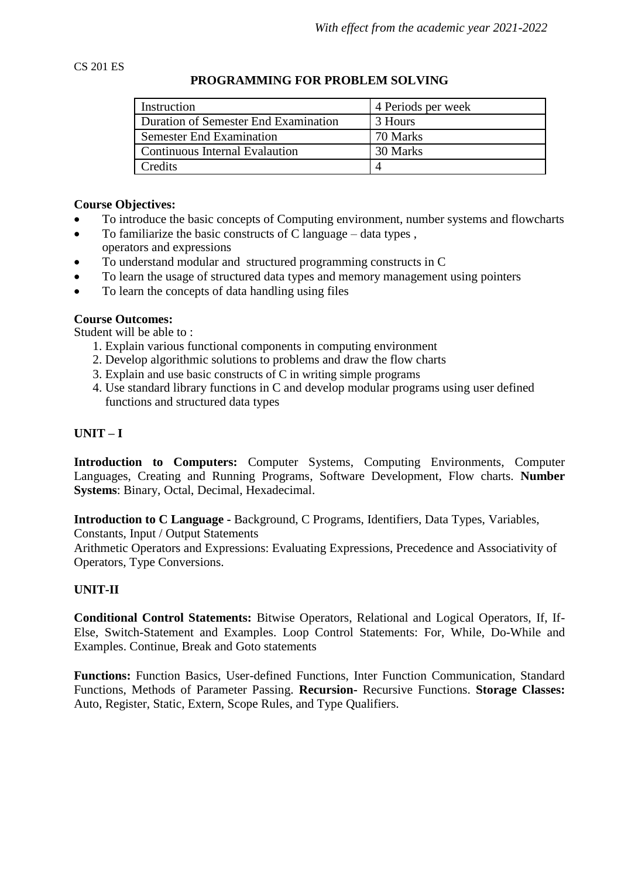#### CS 201 ES

## **PROGRAMMING FOR PROBLEM SOLVING**

| Instruction                           | 4 Periods per week |  |  |
|---------------------------------------|--------------------|--|--|
| Duration of Semester End Examination  | 3 Hours            |  |  |
| <b>Semester End Examination</b>       | 70 Marks           |  |  |
| <b>Continuous Internal Evalaution</b> | 30 Marks           |  |  |
| Credits                               | 4                  |  |  |

#### **Course Objectives:**

- To introduce the basic concepts of Computing environment, number systems and flowcharts
- $\bullet$  To familiarize the basic constructs of C language data types, operators and expressions
- To understand modular and structured programming constructs in C
- To learn the usage of structured data types and memory management using pointers
- To learn the concepts of data handling using files

#### **Course Outcomes:**

Student will be able to :

- 1. Explain various functional components in computing environment
- 2. Develop algorithmic solutions to problems and draw the flow charts
- 3. Explain and use basic constructs of C in writing simple programs
- 4. Use standard library functions in C and develop modular programs using user defined functions and structured data types

## **UNIT – I**

**Introduction to Computers:** Computer Systems, Computing Environments, Computer Languages, Creating and Running Programs, Software Development, Flow charts. **Number Systems**: Binary, Octal, Decimal, Hexadecimal.

**Introduction to C Language -** Background, C Programs, Identifiers, Data Types, Variables, Constants, Input / Output Statements

Arithmetic Operators and Expressions: Evaluating Expressions, Precedence and Associativity of Operators, Type Conversions.

#### **UNIT-II**

**Conditional Control Statements:** Bitwise Operators, Relational and Logical Operators, If, If-Else, Switch-Statement and Examples. Loop Control Statements: For, While, Do-While and Examples. Continue, Break and Goto statements

**Functions:** Function Basics, User-defined Functions, Inter Function Communication, Standard Functions, Methods of Parameter Passing. **Recursion-** Recursive Functions. **Storage Classes:** Auto, Register, Static, Extern, Scope Rules, and Type Qualifiers.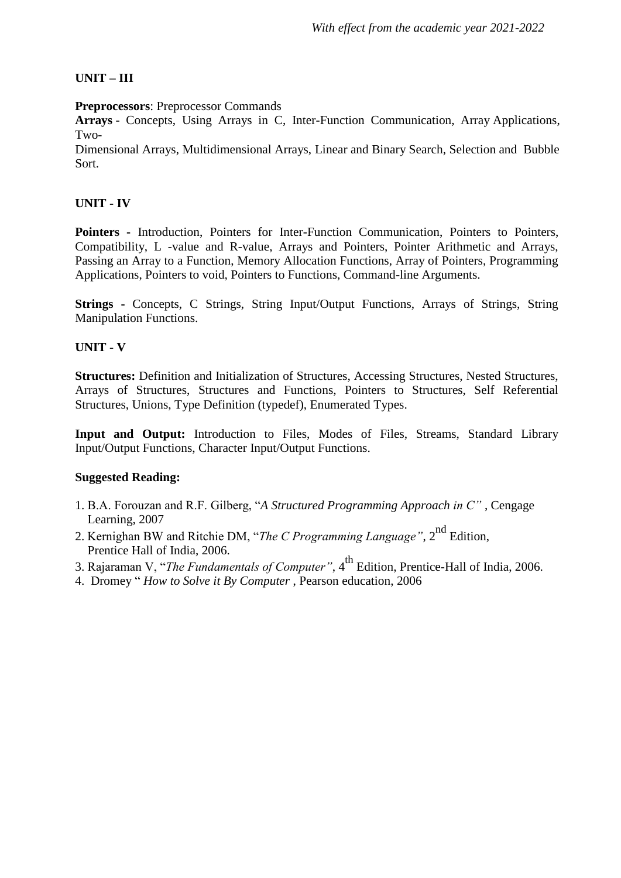## **UNIT – III**

**Preprocessors**: Preprocessor Commands

**Arrays** - Concepts, Using Arrays in C, Inter-Function Communication, Array Applications, Two-

Dimensional Arrays, Multidimensional Arrays, Linear and Binary Search, Selection and Bubble Sort.

## **UNIT - IV**

**Pointers -** Introduction, Pointers for Inter-Function Communication, Pointers to Pointers, Compatibility, L -value and R-value, Arrays and Pointers, Pointer Arithmetic and Arrays, Passing an Array to a Function, Memory Allocation Functions, Array of Pointers, Programming Applications, Pointers to void, Pointers to Functions, Command-line Arguments.

**Strings** - Concepts, C Strings, String Input/Output Functions, Arrays of Strings, String Manipulation Functions.

## **UNIT - V**

**Structures:** Definition and Initialization of Structures, Accessing Structures, Nested Structures, Arrays of Structures, Structures and Functions, Pointers to Structures, Self Referential Structures, Unions, Type Definition (typedef), Enumerated Types.

**Input and Output:** Introduction to Files, Modes of Files, Streams, Standard Library Input/Output Functions, Character Input/Output Functions.

- 1. B.A. Forouzan and R.F. Gilberg, "*A Structured Programming Approach in C"* , Cengage Learning, 2007
- 2. Kernighan BW and Ritchie DM, "*The C Programming Language*", 2<sup>nd</sup> Edition, Prentice Hall of India, 2006.
- 3. Rajaraman V, "*The Fundamentals of Computer"*, 4th Edition, Prentice-Hall of India, 2006.
- 4. Dromey " *How to Solve it By Computer* , Pearson education, 2006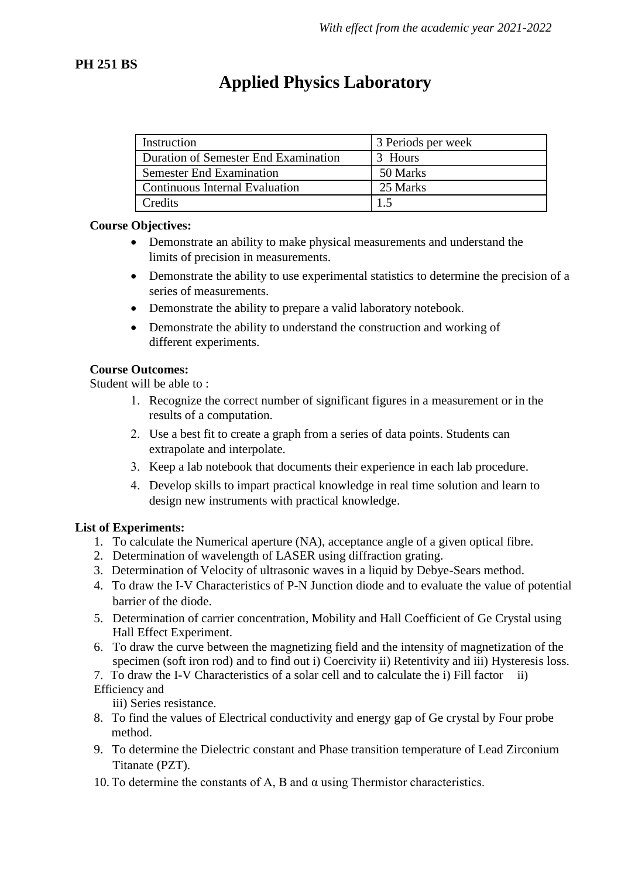## **PH 251 BS**

# **Applied Physics Laboratory**

| Instruction                           | 3 Periods per week |
|---------------------------------------|--------------------|
| Duration of Semester End Examination  | 3 Hours            |
| <b>Semester End Examination</b>       | 50 Marks           |
| <b>Continuous Internal Evaluation</b> | 25 Marks           |
| Credits                               |                    |

## **Course Objectives:**

- Demonstrate an ability to make physical measurements and understand the limits of precision in measurements.
- Demonstrate the ability to use experimental statistics to determine the precision of a series of measurements.
- Demonstrate the ability to prepare a valid laboratory notebook.
- Demonstrate the ability to understand the construction and working of different experiments.

## **Course Outcomes:**

Student will be able to :

- Recognize the correct number of significant figures in a measurement or in the results of a computation.
- Use a best fit to create a graph from a series of data points. Students can extrapolate and interpolate.
- 3. Keep a lab notebook that documents their experience in each lab procedure.
- Develop skills to impart practical knowledge in real time solution and learn to design new instruments with practical knowledge.

## **List of Experiments:**

- 1. To calculate the Numerical aperture (NA), acceptance angle of a given optical fibre.
- 2. Determination of wavelength of LASER using diffraction grating.
- 3. Determination of Velocity of ultrasonic waves in a liquid by Debye-Sears method.
- 4. To draw the I-V Characteristics of P-N Junction diode and to evaluate the value of potential barrier of the diode.
- 5. Determination of carrier concentration, Mobility and Hall Coefficient of Ge Crystal using Hall Effect Experiment.
- 6. To draw the curve between the magnetizing field and the intensity of magnetization of the specimen (soft iron rod) and to find out i) Coercivity ii) Retentivity and iii) Hysteresis loss.

7. To draw the I-V Characteristics of a solar cell and to calculate the i) Fill factor ii) Efficiency and

iii) Series resistance.

- 8. To find the values of Electrical conductivity and energy gap of Ge crystal by Four probe method.
- 9. To determine the Dielectric constant and Phase transition temperature of Lead Zirconium Titanate (PZT).
- 10. To determine the constants of A, B and  $\alpha$  using Thermistor characteristics.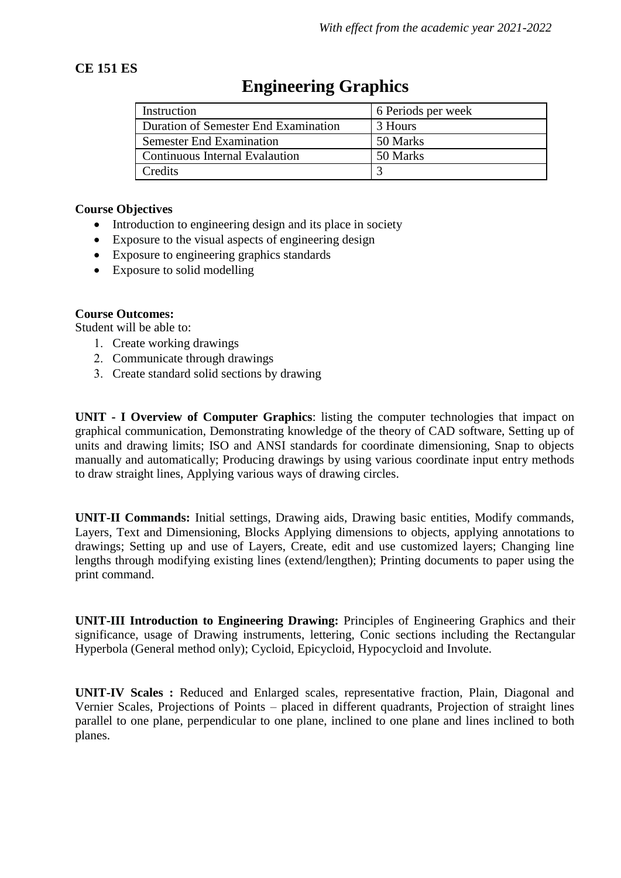## **CE 151 ES**

| Instruction                           | 6 Periods per week |
|---------------------------------------|--------------------|
| Duration of Semester End Examination  | 3 Hours            |
| <b>Semester End Examination</b>       | 50 Marks           |
| <b>Continuous Internal Evalaution</b> | 50 Marks           |
| Credits                               |                    |

# **Engineering Graphics**

### **Course Objectives**

- Introduction to engineering design and its place in society
- Exposure to the visual aspects of engineering design
- Exposure to engineering graphics standards
- Exposure to solid modelling

### **Course Outcomes:**

Student will be able to:

- 1. Create working drawings
- 2. Communicate through drawings
- Create standard solid sections by drawing

**UNIT - I Overview of Computer Graphics**: listing the computer technologies that impact on graphical communication, Demonstrating knowledge of the theory of CAD software, Setting up of units and drawing limits; ISO and ANSI standards for coordinate dimensioning, Snap to objects manually and automatically; Producing drawings by using various coordinate input entry methods to draw straight lines, Applying various ways of drawing circles.

**UNIT-II Commands:** Initial settings, Drawing aids, Drawing basic entities, Modify commands, Layers, Text and Dimensioning, Blocks Applying dimensions to objects, applying annotations to drawings; Setting up and use of Layers, Create, edit and use customized layers; Changing line lengths through modifying existing lines (extend/lengthen); Printing documents to paper using the print command.

**UNIT-III Introduction to Engineering Drawing:** Principles of Engineering Graphics and their significance, usage of Drawing instruments, lettering, Conic sections including the Rectangular Hyperbola (General method only); Cycloid, Epicycloid, Hypocycloid and Involute.

**UNIT-IV Scales :** Reduced and Enlarged scales, representative fraction, Plain, Diagonal and Vernier Scales, Projections of Points – placed in different quadrants, Projection of straight lines parallel to one plane, perpendicular to one plane, inclined to one plane and lines inclined to both planes.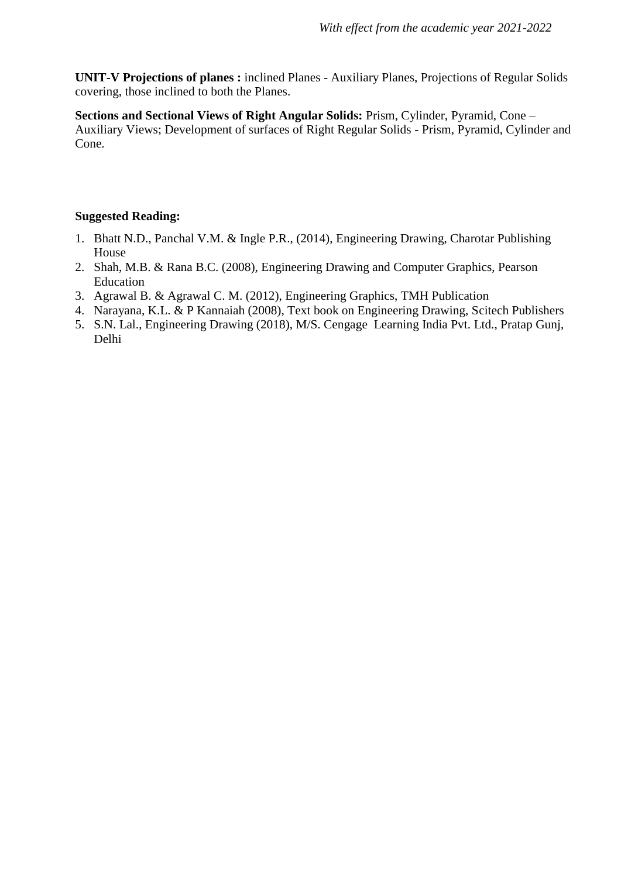**UNIT-V Projections of planes :** inclined Planes - Auxiliary Planes, Projections of Regular Solids covering, those inclined to both the Planes.

**Sections and Sectional Views of Right Angular Solids:** Prism, Cylinder, Pyramid, Cone – Auxiliary Views; Development of surfaces of Right Regular Solids - Prism, Pyramid, Cylinder and Cone.

- 1. Bhatt N.D., Panchal V.M. & Ingle P.R., (2014), Engineering Drawing, Charotar Publishing House
- 2. Shah, M.B. & Rana B.C. (2008), Engineering Drawing and Computer Graphics, Pearson Education
- 3. Agrawal B. & Agrawal C. M. (2012), Engineering Graphics, TMH Publication
- 4. Narayana, K.L. & P Kannaiah (2008), Text book on Engineering Drawing, Scitech Publishers
- 5. S.N. Lal., Engineering Drawing (2018), M/S. Cengage Learning India Pvt. Ltd., Pratap Gunj, Delhi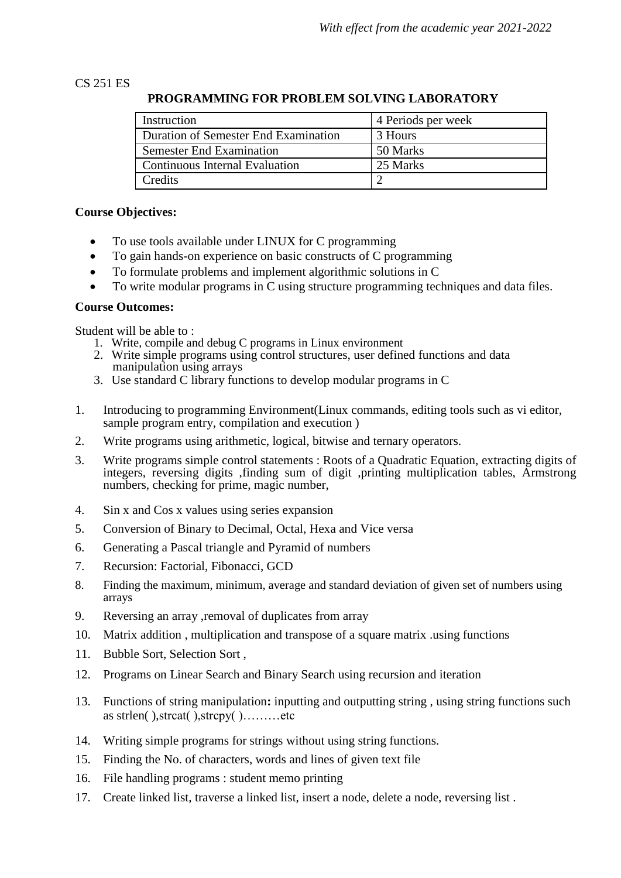### CS 251 ES

### **PROGRAMMING FOR PROBLEM SOLVING LABORATORY**

| Instruction                          | 4 Periods per week |
|--------------------------------------|--------------------|
| Duration of Semester End Examination | 3 Hours            |
| <b>Semester End Examination</b>      | 50 Marks           |
| Continuous Internal Evaluation       | 25 Marks           |
| Credits                              |                    |

#### **Course Objectives:**

- To use tools available under LINUX for C programming
- To gain hands-on experience on basic constructs of C programming
- To formulate problems and implement algorithmic solutions in C
- To write modular programs in C using structure programming techniques and data files.

#### **Course Outcomes:**

Student will be able to :

- 1. Write, compile and debug C programs in Linux environment
- 2. Write simple programs using control structures, user defined functions and data manipulation using arrays
- 3. Use standard C library functions to develop modular programs in C
- 1. Introducing to programming Environment(Linux commands, editing tools such as vi editor, sample program entry, compilation and execution )
- 2. Write programs using arithmetic, logical, bitwise and ternary operators.
- 3. Write programs simple control statements : Roots of a Quadratic Equation, extracting digits of integers, reversing digits ,finding sum of digit ,printing multiplication tables, Armstrong numbers, checking for prime, magic number,
- 4. Sin x and Cos x values using series expansion
- 5. Conversion of Binary to Decimal, Octal, Hexa and Vice versa
- 6. Generating a Pascal triangle and Pyramid of numbers
- 7. Recursion: Factorial, Fibonacci, GCD
- 8. Finding the maximum, minimum, average and standard deviation of given set of numbers using arrays
- 9. Reversing an array , removal of duplicates from array
- 10. Matrix addition , multiplication and transpose of a square matrix .using functions
- 11. Bubble Sort, Selection Sort ,
- 12. Programs on Linear Search and Binary Search using recursion and iteration
- 13. Functions of string manipulation**:** inputting and outputting string , using string functions such as strlen( ),strcat( ),strcpy( )………etc
- 14. Writing simple programs for strings without using string functions.
- 15. Finding the No. of characters, words and lines of given text file
- 16. File handling programs : student memo printing
- 17. Create linked list, traverse a linked list, insert a node, delete a node, reversing list .